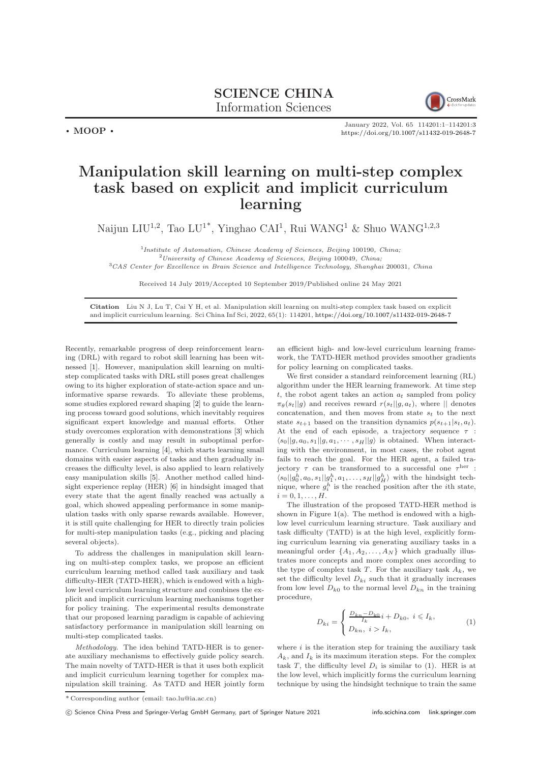SCIENCE CHINA Information Sciences



January 2022, Vol. 65 114201:1–114201[:3](#page-2-0) <https://doi.org/10.1007/s11432-019-2648-7>

## Manipulation skill learning on multi-step complex task based on explicit and implicit curriculum learning

Naijun LIU<sup>1,2</sup>, Tao LU<sup>1\*</sup>, Yinghao CAI<sup>1</sup>, Rui WANG<sup>1</sup> & Shuo WANG<sup>1,2,3</sup>

<sup>1</sup>Institute of Automation, Chinese Academy of Sciences, Beijing 100190, China;  $^{2}$ University of Chinese Academy of Sciences, Beijing 100049, China; <sup>3</sup>CAS Center for Excellence in Brain Science and Intelligence Technology, Shanghai 200031, China

Received 14 July 2019/Accepted 10 September 2019/Published online 24 May 2021

Citation Liu N J, Lu T, Cai Y H, et al. Manipulation skill learning on multi-step complex task based on explicit and implicit curriculum learning. Sci China Inf Sci, 2022, 65(1): 114201, <https://doi.org/10.1007/s11432-019-2648-7>

Recently, remarkable progress of deep reinforcement learning (DRL) with regard to robot skill learning has been witnessed [\[1\]](#page-2-1). However, manipulation skill learning on multistep complicated tasks with DRL still poses great challenges owing to its higher exploration of state-action space and uninformative sparse rewards. To alleviate these problems, some studies explored reward shaping [\[2\]](#page-2-2) to guide the learning process toward good solutions, which inevitably requires significant expert knowledge and manual efforts. Other study overcomes exploration with demonstrations [\[3\]](#page-2-3) which generally is costly and may result in suboptimal performance. Curriculum learning [\[4\]](#page-2-4), which starts learning small domains with easier aspects of tasks and then gradually increases the difficulty level, is also applied to learn relatively easy manipulation skills [\[5\]](#page-2-5). Another method called hindsight experience replay (HER) [\[6\]](#page-2-6) in hindsight imaged that every state that the agent finally reached was actually a goal, which showed appealing performance in some manipulation tasks with only sparse rewards available. However, it is still quite challenging for HER to directly train policies for multi-step manipulation tasks (e.g., picking and placing several objects).

 $\cdot$  MOOP  $\cdot$ 

To address the challenges in manipulation skill learning on multi-step complex tasks, we propose an efficient curriculum learning method called task auxiliary and task difficulty-HER (TATD-HER), which is endowed with a highlow level curriculum learning structure and combines the explicit and implicit curriculum learning mechanisms together for policy training. The experimental results demonstrate that our proposed learning paradigm is capable of achieving satisfactory performance in manipulation skill learning on multi-step complicated tasks.

Methodology. The idea behind TATD-HER is to generate auxiliary mechanisms to effectively guide policy search. The main novelty of TATD-HER is that it uses both explicit and implicit curriculum learning together for complex manipulation skill training. As TATD and HER jointly form an efficient high- and low-level curriculum learning framework, the TATD-HER method provides smoother gradients for policy learning on complicated tasks.

We first consider a standard reinforcement learning (RL) algorithm under the HER learning framework. At time step t, the robot agent takes an action  $a_t$  sampled from policy  $\pi_{\theta}(s_t||g)$  and receives reward  $r(s_t||g, a_t)$ , where  $||$  denotes concatenation, and then moves from state  $s_t$  to the next state  $s_{t+1}$  based on the transition dynamics  $p(s_{t+1}|s_t, a_t)$ . At the end of each episode, a trajectory sequence  $\tau$  :  $\langle s_0||g, a_0, s_1||g, a_1, \cdots, s_H||g \rangle$  is obtained. When interacting with the environment, in most cases, the robot agent fails to reach the goal. For the HER agent, a failed trajectory  $\tau$  can be transformed to a successful one  $\tau^{\text{her}}$ :  $\langle s_0||g_0^h, a_0, s_1||g_1^h, a_1, \ldots, s_H||g_H^h \rangle$  with the hindsight technique, where  $g_i^h$  is the reached position after the *i*<sup>th</sup> state,  $i = 0, 1, \ldots, H.$ 

The illustration of the proposed TATD-HER method is shown in Figure  $1(a)$  $1(a)$ . The method is endowed with a highlow level curriculum learning structure. Task auxiliary and task difficulty (TATD) is at the high level, explicitly forming curriculum learning via generating auxiliary tasks in a meaningful order  $\{A_1, A_2, \ldots, A_N\}$  which gradually illustrates more concepts and more complex ones according to the type of complex task T. For the auxiliary task  $A_k$ , we set the difficulty level  $D_{ki}$  such that it gradually increases from low level  $D_{k0}$  to the normal level  $D_{kn}$  in the training procedure,

<span id="page-0-0"></span>
$$
D_{ki} = \begin{cases} \frac{D_{kn} - D_{k0}}{I_k} i + D_{k0}, \ i \leq I_k, \\ D_{kn}, \ i > I_k, \end{cases}
$$
 (1)

where  $i$  is the iteration step for training the auxiliary task  $A_k$ , and  $I_k$  is its maximum iteration steps. For the complex task T, the difficulty level  $D_i$  is similar to [\(1\)](#page-0-0). HER is at the low level, which implicitly forms the curriculum learning technique by using the hindsight technique to train the same

<sup>\*</sup> Corresponding author (email: tao.lu@ia.ac.cn)

<sup>(</sup>C) Science China Press and Springer-Verlag GmbH Germany, part of Springer Nature 2021 <info.scichina.com><link.springer.com>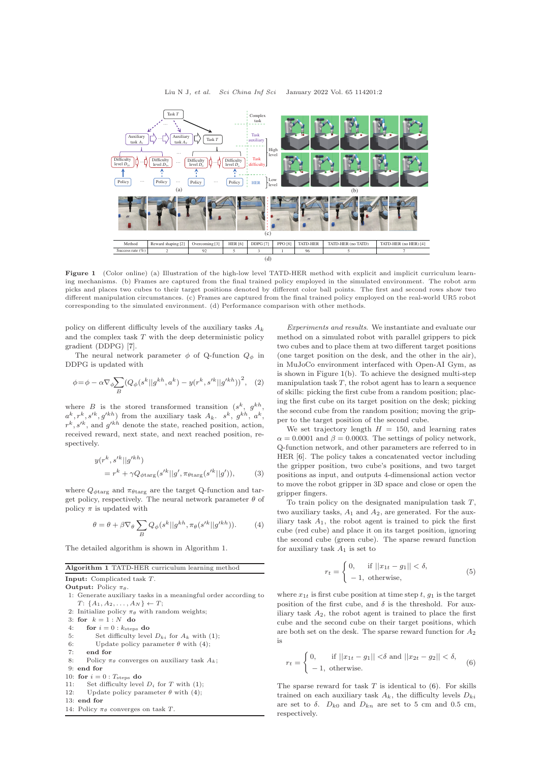<span id="page-1-0"></span>

Figure 1 (Color online) (a) Illustration of the high-low level TATD-HER method with explicit and implicit curriculum learning mechanisms. (b) Frames are captured from the final trained policy employed in the simulated environment. The robot arm picks and places two cubes to their target positions denoted by different color ball points. The first and second rows show two different manipulation circumstances. (c) Frames are captured from the final trained policy employed on the real-world UR5 robot corresponding to the simulated environment. (d) Performance comparison with other methods.

policy on different difficulty levels of the auxiliary tasks  $A_k$ and the complex task  $T$  with the deep deterministic policy gradient (DDPG) [\[7\]](#page-2-7).

The neural network parameter  $\phi$  of Q-function  $Q_{\phi}$  in DDPG is updated with

$$
\phi = \phi - \alpha \nabla_{\phi} \sum_{B} (Q_{\phi}(s^k || g^{kh}, a^k) - y(r^k, s'^k || g'^{kh}))^2, \quad (2)
$$

where B is the stored transformed transition  $(s^k, g^{kh},$  $a^k, r^k, s'^k, g'^{kh}$  from the auxiliary task  $A_k$ .  $s^k, g^{kh}, a^k$ ,  $r^k$ ,  $s'^k$ , and  $g'^{kh}$  denote the state, reached position, action, received reward, next state, and next reached position, respectively.

$$
y(r^k, s'^k || g'^{kh})
$$
  
=  $r^k + \gamma Q_{\phi \text{targ}}(s'^k || g', \pi_{\theta \text{targ}}(s'^k || g')),$  (3)

where  $Q_{\phi \text{targ}}$  and  $\pi_{\theta \text{targ}}$  are the target Q-function and target policy, respectively. The neural network parameter  $\theta$  of policy  $\pi$  is updated with

<span id="page-1-1"></span>
$$
\theta = \theta + \beta \nabla_{\theta} \sum_{B} Q_{\phi}(s^{k}||g^{kh}, \pi_{\theta}(s'^{k}||g'^{kh})). \tag{4}
$$

The detailed algorithm is shown in Algorithm 1.

## Algorithm 1 TATD-HER curriculum learning method

Input: Complicated task T.

**Output:** Policy  $\pi_{\theta}$ .

- 1: Generate auxiliary tasks in a meaningful order according to  $T: \{A_1, A_2, \ldots, A_N\} \leftarrow T;$
- 2: Initialize policy  $\pi_{\theta}$  with random weights;
- 3: for  $\ k=1:N\ \ \mathbf{do}$
- 4: for  $i = 0$  :  $k_{\text{steps}}$  do
- 5: Set difficulty level  $D_{ki}$  for  $A_k$  with [\(1\)](#page-0-0);
- 6: Update policy parameter  $\theta$  with [\(4\)](#page-1-1):
- 7: end for
- 8: Policy  $\pi_{\theta}$  converges on auxiliary task  $A_k$ ;
- 9: end for
- 10: for  $i = 0$  :  $T_{\text{steps}}$  do
- 11: Set difficulty level  $D_i$  for T with [\(1\)](#page-0-0);
- 12: Update policy parameter  $\theta$  with [\(4\)](#page-1-1);
- 13: end for
- 14: Policy  $\pi_{\theta}$  converges on task T.

Experiments and results. We instantiate and evaluate our method on a simulated robot with parallel grippers to pick two cubes and to place them at two different target positions (one target position on the desk, and the other in the air), in MuJoCo environment interfaced with Open-AI Gym, as is shown in Figure [1\(](#page-1-0)b). To achieve the designed multi-step manipulation task  $T$ , the robot agent has to learn a sequence of skills: picking the first cube from a random position; placing the first cube on its target position on the desk; picking the second cube from the random position; moving the gripper to the target position of the second cube.

We set trajectory length  $H = 150$ , and learning rates  $\alpha = 0.0001$  and  $\beta = 0.0003$ . The settings of policy network, Q-function network, and other parameters are referred to in HER [\[6\]](#page-2-6). The policy takes a concatenated vector including the gripper position, two cube's positions, and two target positions as input, and outputs 4-dimensional action vector to move the robot gripper in 3D space and close or open the gripper fingers.

To train policy on the designated manipulation task  $T$ , two auxiliary tasks,  $A_1$  and  $A_2$ , are generated. For the auxiliary task  $A_1$ , the robot agent is trained to pick the first cube (red cube) and place it on its target position, ignoring the second cube (green cube). The sparse reward function for auxiliary task  $A_1$  is set to

$$
r_t = \begin{cases} 0, & \text{if } ||x_{1t} - g_1|| < \delta, \\ -1, & \text{otherwise,} \end{cases} \tag{5}
$$

where  $x_{1t}$  is first cube position at time step t,  $g_1$  is the target position of the first cube, and  $\delta$  is the threshold. For auxiliary task  $A_2$ , the robot agent is trained to place the first cube and the second cube on their target positions, which are both set on the desk. The sparse reward function for  $A_2$ is

<span id="page-1-2"></span>
$$
r_t = \begin{cases} 0, & \text{if } ||x_{1t} - g_1|| < \delta \text{ and } ||x_{2t} - g_2|| < \delta, \\ -1, & \text{otherwise.} \end{cases} \tag{6}
$$

The sparse reward for task  $T$  is identical to  $(6)$ . For skills trained on each auxiliary task  $A_k$ , the difficulty levels  $D_{ki}$ are set to  $\delta$ .  $D_{k0}$  and  $D_{kn}$  are set to 5 cm and 0.5 cm, respectively.